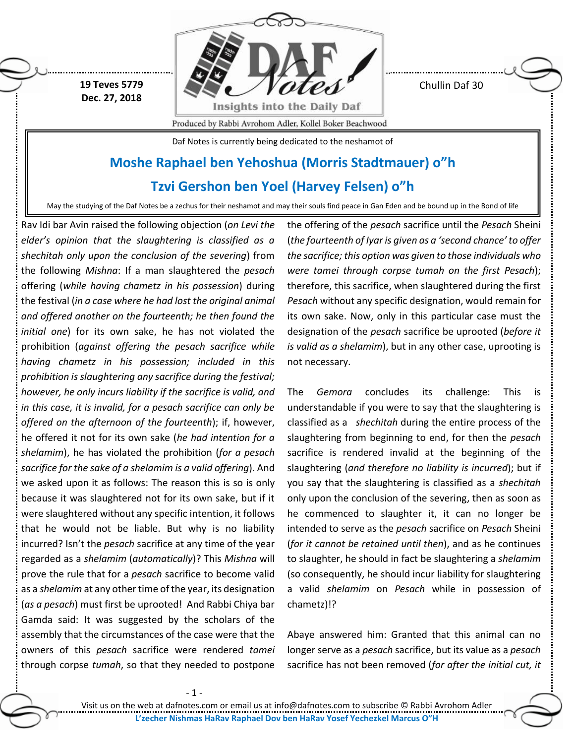**19 Teves 5779 Dec. 27, 2018**



Chullin Daf 30

Produced by Rabbi Avrohom Adler, Kollel Boker Beachwood

Daf Notes is currently being dedicated to the neshamot of

## **Moshe Raphael ben Yehoshua (Morris Stadtmauer) o"h**

**Tzvi Gershon ben Yoel (Harvey Felsen) o"h**

May the studying of the Daf Notes be a zechus for their neshamot and may their souls find peace in Gan Eden and be bound up in the Bond of life

Rav Idi bar Avin raised the following objection (*on Levi the elder's opinion that the slaughtering is classified as a shechitah only upon the conclusion of the severing*) from the following *Mishna*: If a man slaughtered the *pesach* offering (*while having chametz in his possession*) during the festival (*in a case where he had lost the original animal and offered another on the fourteenth; he then found the initial one*) for its own sake, he has not violated the prohibition (*against offering the pesach sacrifice while having chametz in his possession; included in this prohibition is slaughtering any sacrifice during the festival; however, he only incurs liability if the sacrifice is valid, and in this case, it is invalid, for a pesach sacrifice can only be offered on the afternoon of the fourteenth*); if, however, he offered it not for its own sake (*he had intention for a shelamim*), he has violated the prohibition (*for a pesach sacrifice for the sake of a shelamim is a valid offering*). And we asked upon it as follows: The reason this is so is only because it was slaughtered not for its own sake, but if it were slaughtered without any specific intention, it follows that he would not be liable. But why is no liability incurred? Isn't the *pesach* sacrifice at any time of the year regarded as a *shelamim* (*automatically*)? This *Mishna* will prove the rule that for a *pesach* sacrifice to become valid as a *shelamim* at any other time of the year, its designation (*as a pesach*) must first be uprooted! And Rabbi Chiya bar Gamda said: It was suggested by the scholars of the assembly that the circumstances of the case were that the owners of this *pesach* sacrifice were rendered *tamei* through corpse *tumah*, so that they needed to postpone

the offering of the *pesach* sacrifice until the *Pesach* Sheini (*the fourteenth of Iyar is given as a 'second chance' to offer the sacrifice; this option was given to those individuals who were tamei through corpse tumah on the first Pesach*); therefore, this sacrifice, when slaughtered during the first *Pesach* without any specific designation, would remain for its own sake. Now, only in this particular case must the designation of the *pesach* sacrifice be uprooted (*before it is valid as a shelamim*), but in any other case, uprooting is not necessary.

The *Gemora* concludes its challenge: This is understandable if you were to say that the slaughtering is classified as a *shechitah* during the entire process of the slaughtering from beginning to end, for then the *pesach* sacrifice is rendered invalid at the beginning of the slaughtering (*and therefore no liability is incurred*); but if you say that the slaughtering is classified as a *shechitah* only upon the conclusion of the severing, then as soon as he commenced to slaughter it, it can no longer be intended to serve as the *pesach* sacrifice on *Pesach* Sheini (*for it cannot be retained until then*), and as he continues to slaughter, he should in fact be slaughtering a *shelamim* (so consequently, he should incur liability for slaughtering a valid *shelamim* on *Pesach* while in possession of chametz)!?

Abaye answered him: Granted that this animal can no longer serve as a *pesach* sacrifice, but its value as a *pesach* sacrifice has not been removed (*for after the initial cut, it*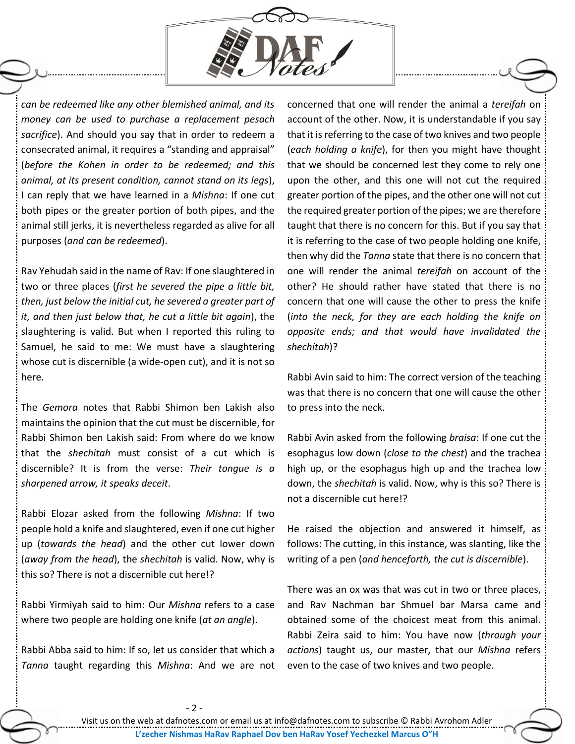

*can be redeemed like any other blemished animal, and its money can be used to purchase a replacement pesach sacrifice*). And should you say that in order to redeem a consecrated animal, it requires a "standing and appraisal" (*before the Kohen in order to be redeemed; and this animal, at its present condition, cannot stand on its legs*), I can reply that we have learned in a *Mishna*: If one cut both pipes or the greater portion of both pipes, and the animal still jerks, it is nevertheless regarded as alive for all purposes (*and can be redeemed*).

Rav Yehudah said in the name of Rav: If one slaughtered in two or three places (*first he severed the pipe a little bit, then, just below the initial cut, he severed a greater part of it, and then just below that, he cut a little bit again*), the slaughtering is valid. But when I reported this ruling to Samuel, he said to me: We must have a slaughtering whose cut is discernible (a wide-open cut), and it is not so here.

The *Gemora* notes that Rabbi Shimon ben Lakish also maintains the opinion that the cut must be discernible, for Rabbi Shimon ben Lakish said: From where do we know that the *shechitah* must consist of a cut which is discernible? It is from the verse: *Their tongue is a sharpened arrow, it speaks deceit*.

Rabbi Elozar asked from the following *Mishna*: If two people hold a knife and slaughtered, even if one cut higher up (*towards the head*) and the other cut lower down (*away from the head*), the *shechitah* is valid. Now, why is this so? There is not a discernible cut here!?

Rabbi Yirmiyah said to him: Our *Mishna* refers to a case where two people are holding one knife (*at an angle*).

Rabbi Abba said to him: If so, let us consider that which a *Tanna* taught regarding this *Mishna*: And we are not concerned that one will render the animal a *tereifah* on account of the other. Now, it is understandable if you say that it is referring to the case of two knives and two people (*each holding a knife*), for then you might have thought that we should be concerned lest they come to rely one upon the other, and this one will not cut the required greater portion of the pipes, and the other one will not cut the required greater portion of the pipes; we are therefore taught that there is no concern for this. But if you say that it is referring to the case of two people holding one knife, then why did the *Tanna* state that there is no concern that one will render the animal *tereifah* on account of the other? He should rather have stated that there is no concern that one will cause the other to press the knife (*into the neck, for they are each holding the knife on opposite ends; and that would have invalidated the shechitah*)?

Rabbi Avin said to him: The correct version of the teaching was that there is no concern that one will cause the other to press into the neck.

Rabbi Avin asked from the following *braisa*: If one cut the esophagus low down (*close to the chest*) and the trachea high up, or the esophagus high up and the trachea low down, the *shechitah* is valid. Now, why is this so? There is not a discernible cut here!?

He raised the objection and answered it himself, as follows: The cutting, in this instance, was slanting, like the writing of a pen (*and henceforth, the cut is discernible*).

There was an ox was that was cut in two or three places, and Rav Nachman bar Shmuel bar Marsa came and obtained some of the choicest meat from this animal. Rabbi Zeira said to him: You have now (*through your actions*) taught us, our master, that our *Mishna* refers even to the case of two knives and two people.